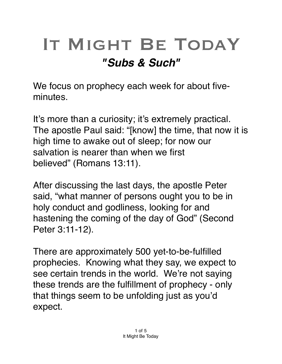## IT MIGHT BE TODAY *"Subs & Such"*

We focus on prophecy each week for about fiveminutes.

It's more than a curiosity; it's extremely practical. The apostle Paul said: "[know] the time, that now it is high time to awake out of sleep; for now our salvation is nearer than when we first believed" (Romans 13:11).

After discussing the last days, the apostle Peter said, "what manner of persons ought you to be in holy conduct and godliness, looking for and hastening the coming of the day of God" (Second Peter 3:11-12).

There are approximately 500 yet-to-be-fulfilled prophecies. Knowing what they say, we expect to see certain trends in the world. We're not saying these trends are the fulfillment of prophecy - only that things seem to be unfolding just as you'd expect.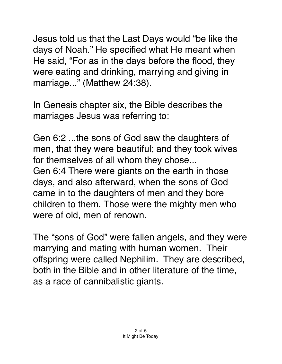Jesus told us that the Last Days would "be like the days of Noah." He specified what He meant when He said, "For as in the days before the flood, they were eating and drinking, marrying and giving in marriage..." (Matthew 24:38).

In Genesis chapter six, the Bible describes the marriages Jesus was referring to:

Gen 6:2 ...the sons of God saw the daughters of men, that they were beautiful; and they took wives for themselves of all whom they chose... Gen 6:4 There were giants on the earth in those days, and also afterward, when the sons of God came in to the daughters of men and they bore children to them. Those were the mighty men who were of old, men of renown.

The "sons of God" were fallen angels, and they were marrying and mating with human women. Their offspring were called Nephilim. They are described, both in the Bible and in other literature of the time, as a race of cannibalistic giants.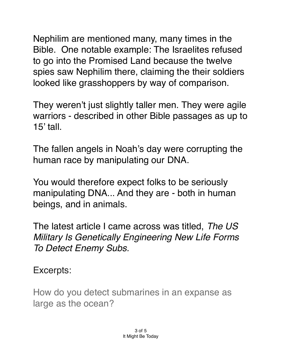Nephilim are mentioned many, many times in the Bible. One notable example: The Israelites refused to go into the Promised Land because the twelve spies saw Nephilim there, claiming the their soldiers looked like grasshoppers by way of comparison.

They weren't just slightly taller men. They were agile warriors - described in other Bible passages as up to 15' tall.

The fallen angels in Noah's day were corrupting the human race by manipulating our DNA.

You would therefore expect folks to be seriously manipulating DNA... And they are - both in human beings, and in animals.

The latest article I came across was titled, *The US Military Is Genetically Engineering New Life Forms To Detect Enemy Subs.* 

Excerpts:

How do you detect submarines in an expanse as large as the ocean?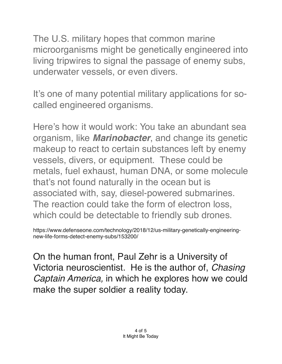The U.S. military hopes that common marine microorganisms might be genetically engineered into living tripwires to signal the passage of enemy subs, underwater vessels, or even divers.

It's one of many potential military applications for socalled engineered organisms.

Here's how it would work: You take an abundant sea organism, like *Marinobacter*, and change its genetic makeup to react to certain substances left by enemy vessels, divers, or equipment. These could be metals, fuel exhaust, human DNA, or some molecule that's not found naturally in the ocean but is associated with, say, diesel-powered submarines. The reaction could take the form of electron loss, which could be detectable to friendly sub drones.

https://www.defenseone.com/technology/2018/12/us-military-genetically-engineeringnew-life-forms-detect-enemy-subs/153200/

On the human front, Paul Zehr is a University of Victoria neuroscientist. He is the author of, *Chasing Captain America,* in which he explores how we could make the super soldier a reality today.